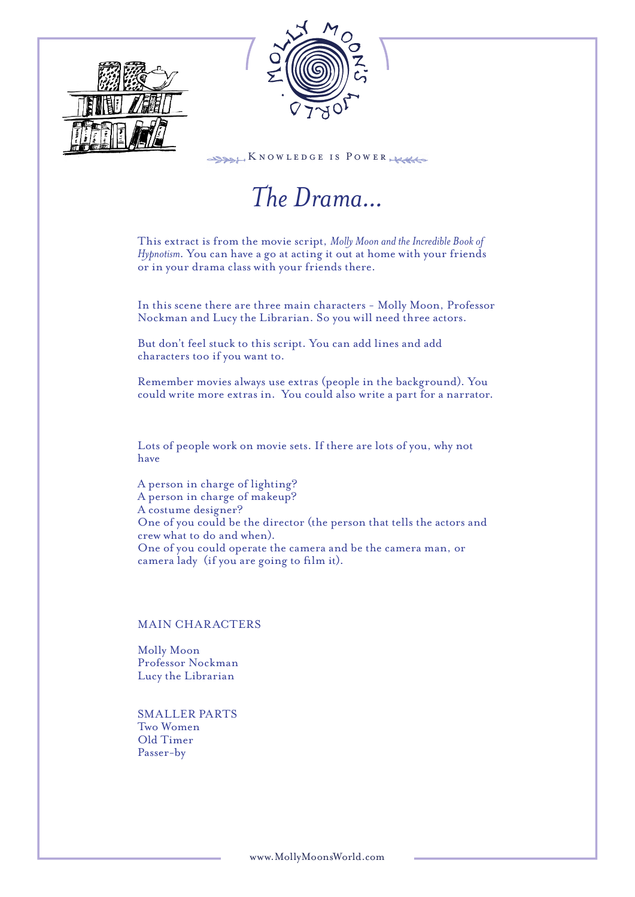



 $\frac{1}{28866}$  KNOWLEDGE IS POWER

# *The Drama...*

This extract is from the movie script, *Molly Moon and the Incredible Book of Hypnotism*. You can have a go at acting it out at home with your friends or in your drama class with your friends there.

In this scene there are three main characters - Molly Moon, Professor Nockman and Lucy the Librarian. So you will need three actors.

But don't feel stuck to this script. You can add lines and add characters too if you want to.

Remember movies always use extras (people in the background). You could write more extras in. You could also write a part for a narrator.

Lots of people work on movie sets. If there are lots of you, why not have

A person in charge of lighting? A person in charge of makeup? A costume designer? One of you could be the director (the person that tells the actors and crew what to do and when). One of you could operate the camera and be the camera man, or camera lady (if you are going to film it).

## MAIN CHARACTERS

Molly Moon Professor Nockman Lucy the Librarian

SMALLER PARTS Two Women Old Timer Passer-by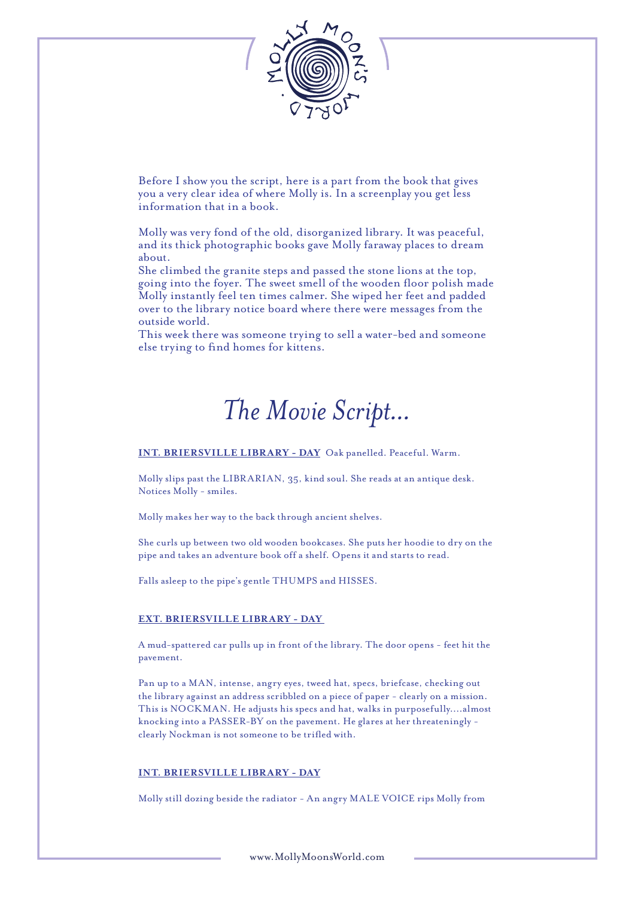

Before I show you the script, here is a part from the book that gives you a very clear idea of where Molly is. In a screenplay you get less information that in a book.

Molly was very fond of the old, disorganized library. It was peaceful, and its thick photographic books gave Molly faraway places to dream about.

She climbed the granite steps and passed the stone lions at the top, going into the foyer. The sweet smell of the wooden floor polish made Molly instantly feel ten times calmer. She wiped her feet and padded over to the library notice board where there were messages from the outside world.

This week there was someone trying to sell a water-bed and someone else trying to find homes for kittens.

## *The Movie Script...*

**INT. BRIERSVILLE LIBRARY - DAY** Oak panelled. Peaceful. Warm.

Molly slips past the LIBRARIAN, 35, kind soul. She reads at an antique desk. Notices Molly - smiles.

Molly makes her way to the back through ancient shelves.

She curls up between two old wooden bookcases. She puts her hoodie to dry on the pipe and takes an adventure book off a shelf. Opens it and starts to read.

Falls asleep to the pipe's gentle THUMPS and HISSES.

#### **EXT. BRIERSVILLE LIBRARY - DAY**

A mud-spattered car pulls up in front of the library. The door opens - feet hit the pavement.

Pan up to a MAN, intense, angry eyes, tweed hat, specs, briefcase, checking out the library against an address scribbled on a piece of paper - clearly on a mission. This is NOCKMAN. He adjusts his specs and hat, walks in purposefully....almost knocking into a PASSER-BY on the pavement. He glares at her threateningly clearly Nockman is not someone to be trifled with.

#### **INT. BRIERSVILLE LIBRARY - DAY**

Molly still dozing beside the radiator - An angry MALE VOICE rips Molly from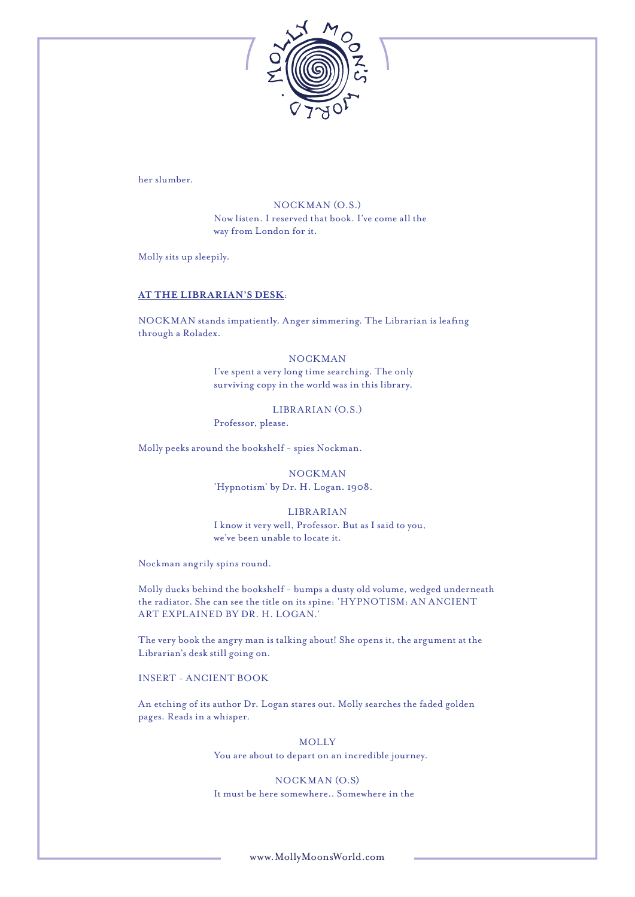

her slumber.

NOCKMAN (O.S.) Now listen. I reserved that book. I've come all the way from London for it.

Molly sits up sleepily.

#### **AT THE LIBRARIAN'S DESK**:

NOCKMAN stands impatiently. Anger simmering. The Librarian is leafing through a Roladex.

## NOCKMAN

I've spent a very long time searching. The only surviving copy in the world was in this library.

LIBRARIAN (O.S.) Professor, please.

Molly peeks around the bookshelf - spies Nockman.

NOCKMAN 'Hypnotism' by Dr. H. Logan. 1908.

#### LIBRARIAN

I know it very well, Professor. But as I said to you, we've been unable to locate it.

Nockman angrily spins round.

Molly ducks behind the bookshelf - bumps a dusty old volume, wedged underneath the radiator. She can see the title on its spine: 'HYPNOTISM: AN ANCIENT ART EXPLAINED BY DR. H. LOGAN.'

The very book the angry man is talking about! She opens it, the argument at the Librarian's desk still going on.

#### INSERT - ANCIENT BOOK

An etching of its author Dr. Logan stares out. Molly searches the faded golden pages. Reads in a whisper.

> **MOLLY** You are about to depart on an incredible journey.

NOCKMAN (O.S) It must be here somewhere.. Somewhere in the

www.MollyMoonsWorld.com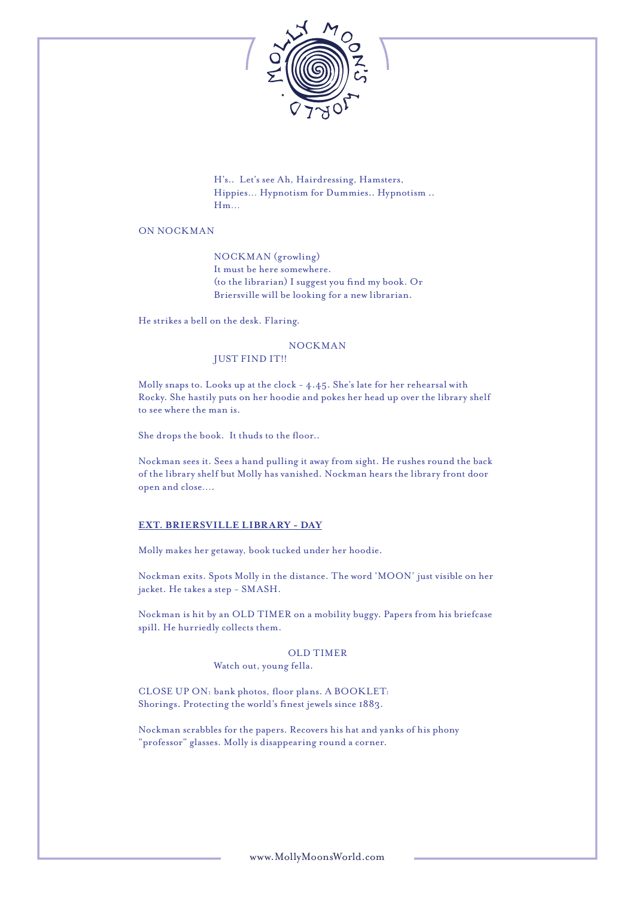

H's.. Let's see Ah, Hairdressing, Hamsters, Hippies… Hypnotism for Dummies.. Hypnotism .. Hm…

## ON NOCKMAN

NOCKMAN (growling) It must be here somewhere. (to the librarian) I suggest you find my book. Or Briersville will be looking for a new librarian.

He strikes a bell on the desk. Flaring.

## NOCKMAN

## JUST FIND IT!!

Molly snaps to. Looks up at the clock - 4.45. She's late for her rehearsal with Rocky. She hastily puts on her hoodie and pokes her head up over the library shelf to see where the man is.

She drops the book. It thuds to the floor..

Nockman sees it. Sees a hand pulling it away from sight. He rushes round the back of the library shelf but Molly has vanished. Nockman hears the library front door open and close….

#### **EXT. BRIERSVILLE LIBRARY - DAY**

Molly makes her getaway, book tucked under her hoodie.

Nockman exits. Spots Molly in the distance. The word 'MOON' just visible on her jacket. He takes a step - SMASH.

Nockman is hit by an OLD TIMER on a mobility buggy. Papers from his briefcase spill. He hurriedly collects them.

## OLD TIMER

Watch out, young fella.

CLOSE UP ON: bank photos, floor plans. A BOOKLET: Shorings. Protecting the world's finest jewels since 1883.

Nockman scrabbles for the papers. Recovers his hat and yanks of his phony "professor" glasses. Molly is disappearing round a corner.